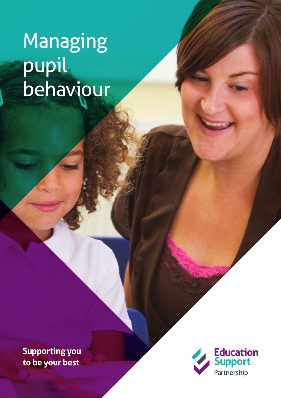# Managing pupil behaviour

**Supporting you to be your best**

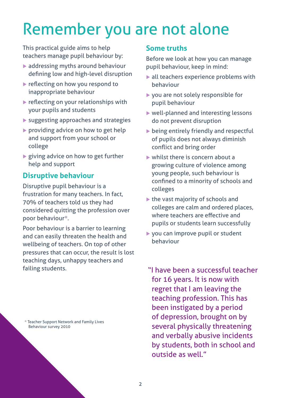## Remember you are not alone

This practical guide aims to help teachers manage pupil behaviour by:

- $\blacktriangleright$  addressing myths around behaviour defining low and high-level disruption
- $\blacktriangleright$  reflecting on how you respond to inappropriate behaviour
- $\blacktriangleright$  reflecting on your relationships with your pupils and students
- $\blacktriangleright$  suggesting approaches and strategies
- $\triangleright$  providing advice on how to get help and support from your school or college
- $\blacktriangleright$  giving advice on how to get further help and support

## **Disruptive behaviour**

Disruptive pupil behaviour is a frustration for many teachers. In fact, 70% of teachers told us they had considered quitting the profession over poor behaviour\*.

Poor behaviour is a barrier to learning and can easily threaten the health and wellbeing of teachers. On top of other pressures that can occur, the result is lost teaching days, unhappy teachers and failing students.

\* Teacher Support Network and Family Lives Behaviour survey 2010

## **Some truths**

Before we look at how you can manage pupil behaviour, keep in mind:

- $\blacktriangleright$  all teachers experience problems with behaviour
- $\triangleright$  you are not solely responsible for pupil behaviour
- $\triangleright$  well-planned and interesting lessons do not prevent disruption
- $\triangleright$  being entirely friendly and respectful of pupils does not always diminish conflict and bring order
- $\triangleright$  whilst there is concern about a growing culture of violence among young people, such behaviour is confined to a minority of schools and colleges
- $\blacktriangleright$  the vast majority of schools and colleges are calm and ordered places, where teachers are effective and pupils or students learn successfully
- $\triangleright$  you can improve pupil or student behaviour

"I have been a successful teacher for 16 years. It is now with regret that I am leaving the teaching profession. This has been instigated by a period of depression, brought on by several physically threatening and verbally abusive incidents by students, both in school and outside as well."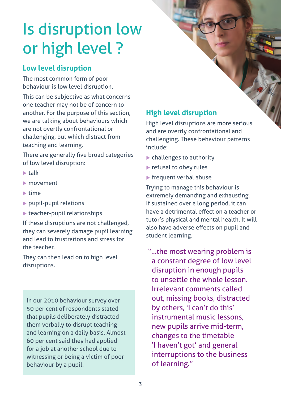## Is disruption low or high level ?

## **Low level disruption**

The most common form of poor behaviour is low level disruption.

This can be subjective as what concerns one teacher may not be of concern to another. For the purpose of this section, we are talking about behaviours which are not overtly confrontational or challenging, but which distract from teaching and learning.

There are generally five broad categories of low level disruption:

- $\blacktriangleright$  talk
- $\blacktriangleright$  movement
- $\n *time*\n$
- $\blacktriangleright$  pupil-pupil relations
- $\blacktriangleright$  teacher-pupil relationships

If these disruptions are not challenged, they can severely damage pupil learning and lead to frustrations and stress for the teacher.

They can then lead on to high level disruptions.

In our 2010 behaviour survey over 50 per cent of respondents stated that pupils deliberately distracted them verbally to disrupt teaching and learning on a daily basis. Almost 60 per cent said they had applied for a job at another school due to witnessing or being a victim of poor behaviour by a pupil.

## **High level disruption**

High level disruptions are more serious and are overtly confrontational and challenging. These behaviour patterns include:

- $\blacktriangleright$  challenges to authority
- $\blacktriangleright$  refusal to obey rules
- $\blacktriangleright$  frequent verbal abuse

Trying to manage this behaviour is extremely demanding and exhausting. If sustained over a long period, it can have a detrimental effect on a teacher or tutor's physical and mental health. It will also have adverse effects on pupil and student learning.

"...the most wearing problem is a constant degree of low level disruption in enough pupils to unsettle the whole lesson. Irrelevant comments called out, missing books, distracted by others, 'I can't do this' instrumental music lessons, new pupils arrive mid-term, changes to the timetable 'I haven't got' and general interruptions to the business of learning."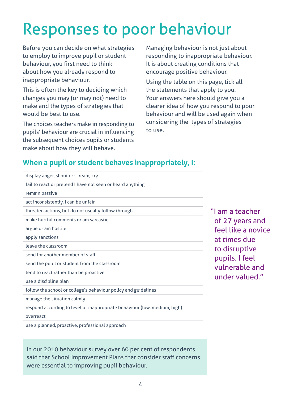## Responses to poor behaviour

Before you can decide on what strategies to employ to improve pupil or student behaviour, you first need to think about how you already respond to inappropriate behaviour.

This is often the key to deciding which changes you may (or may not) need to make and the types of strategies that would be best to use.

The choices teachers make in responding to pupils' behaviour are crucial in influencing the subsequent choices pupils or students make about how they will behave.

Managing behaviour is not just about responding to inappropriate behaviour. It is about creating conditions that encourage positive behaviour.

Using the table on this page, tick all the statements that apply to you. Your answers here should give you a clearer idea of how you respond to poor behaviour and will be used again when considering the types of strategies to use.

## **When a pupil or student behaves inappropriately, I:**

| display anger, shout or scream, cry                                       |  |
|---------------------------------------------------------------------------|--|
| fail to react or pretend I have not seen or heard anything                |  |
| remain passive                                                            |  |
| act inconsistently, I can be unfair                                       |  |
| threaten actions, but do not usually follow through                       |  |
| make hurtful comments or am sarcastic                                     |  |
| argue or am hostile                                                       |  |
| apply sanctions                                                           |  |
| leave the classroom                                                       |  |
| send for another member of staff                                          |  |
| send the pupil or student from the classroom                              |  |
| tend to react rather than be proactive                                    |  |
| use a discipline plan                                                     |  |
| follow the school or college's behaviour policy and guidelines            |  |
| manage the situation calmly                                               |  |
| respond according to level of inappropriate behaviour (low, medium, high) |  |
| overreact                                                                 |  |
| use a planned, proactive, professional approach                           |  |

"I am a teacher of 27 years and feel like a novice at times due to disruptive pupils. I feel vulnerable and under valued."

In our 2010 behaviour survey over 60 per cent of respondents said that School Improvement Plans that consider staff concerns were essential to improving pupil behaviour.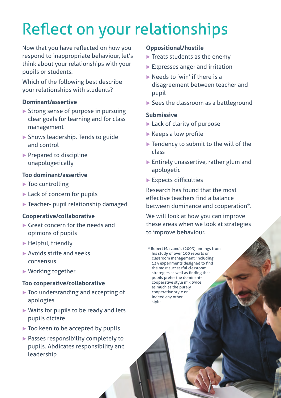## Reflect on your relationships

Now that you have reflected on how you respond to inappropriate behaviour, let's think about your relationships with your pupils or students.

Which of the following best describe your relationships with students?

#### **Dominant/assertive**

- $\triangleright$  Strong sense of purpose in pursuing clear goals for learning and for class management
- $\triangleright$  Shows leadership. Tends to guide and control
- $\blacktriangleright$  Prepared to discipline unapologetically

#### **Too dominant/assertive**

- $\blacktriangleright$  Too controlling
- $\blacktriangleright$  Lack of concern for pupils
- $\blacktriangleright$  Teacher- pupil relationship damaged

### **Cooperative/collaborative**

- $\blacktriangleright$  Great concern for the needs and opinions of pupils
- $\blacktriangleright$  Helpful, friendly
- $\blacktriangleright$  Avoids strife and seeks consensus
- $\blacktriangleright$  Working together

### **Too cooperative/collaborative**

- $\blacktriangleright$  Too understanding and accepting of apologies
- $\triangleright$  Waits for pupils to be ready and lets pupils dictate
- $\triangleright$  Too keen to be accepted by pupils
- $\blacktriangleright$  Passes responsibility completely to pupils. Abdicates responsibility and leadership

### **Oppositional/hostile**

- $\blacktriangleright$  Treats students as the enemy
- $\blacktriangleright$  Expresses anger and irritation
- $\blacktriangleright$  Needs to 'win' if there is a disagreement between teacher and pupil
- $\blacktriangleright$  Sees the classroom as a battleground

#### **Submissive**

- $\blacktriangleright$  Lack of clarity of purpose
- $\blacktriangleright$  Keeps a low profile
- $\blacktriangleright$  Tendency to submit to the will of the class
- $\blacktriangleright$  Entirely unassertive, rather glum and apologetic
- $\blacktriangleright$  Expects difficulties

Research has found that the most effective teachers find a balance between dominance and cooperation\*.

We will look at how you can improve these areas when we look at strategies to improve behaviour.

\* Robert Marzano's (2003) findings from his study of over 100 reports on classroom management, including 134 experiments designed to find the most successful classroom strategies as well as finding that pupils prefer the dominantcooperative style mix twice as much as the purely cooperative style or indeed any other style .

5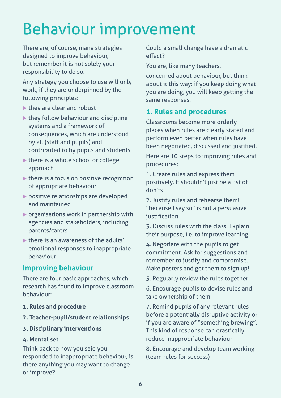## Behaviour improvement

There are, of course, many strategies designed to improve behaviour, but remember it is not solely your responsibility to do so.

Any strategy you choose to use will only work, if they are underpinned by the following principles:

- $\blacktriangleright$  they are clear and robust
- $\blacktriangleright$  they follow behaviour and discipline systems and a framework of consequences, which are understood by all (staff and pupils) and contributed to by pupils and students
- $\blacktriangleright$  there is a whole school or college approach
- $\blacktriangleright$  there is a focus on positive recognition of appropriate behaviour
- $\triangleright$  positive relationships are developed and maintained
- $\blacktriangleright$  organisations work in partnership with agencies and stakeholders, including parents/carers
- $\triangleright$  there is an awareness of the adults' emotional responses to inappropriate behaviour

## **Improving behaviour**

There are four basic approaches, which research has found to improve classroom behaviour:

- **1. Rules and procedure**
- **2. Teacher-pupil/student relationships**
- **3. Disciplinary interventions**

#### **4. Mental set**

Think back to how you said you responded to inappropriate behaviour, is there anything you may want to change or improve?

Could a small change have a dramatic effect?

You are, like many teachers,

concerned about behaviour, but think about it this way: if you keep doing what you are doing, you will keep getting the same responses.

## **1. Rules and procedures**

Classrooms become more orderly places when rules are clearly stated and perform even better when rules have been negotiated, discussed and justified.

Here are 10 steps to improving rules and procedures:

1. Create rules and express them positively. It shouldn't just be a list of don'ts

2. Justify rules and rehearse them! "because I say so" is not a persuasive justification

3. Discuss rules with the class. Explain their purpose, i.e. to improve learning

4. Negotiate with the pupils to get commitment. Ask for suggestions and remember to justify and compromise. Make posters and get them to sign up!

5. Regularly review the rules together

6. Encourage pupils to devise rules and take ownership of them

7. Remind pupils of any relevant rules before a potentially disruptive activity or if you are aware of "something brewing". This kind of response can drastically reduce inappropriate behaviour

8. Encourage and develop team working (team rules for success)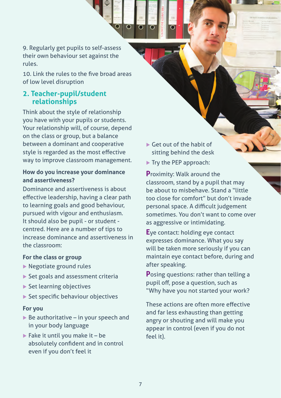9. Regularly get pupils to self-assess their own behaviour set against the rules.

10. Link the rules to the five broad areas of low level disruption

### **2. Teacher-pupil/student relationships**

Think about the style of relationship you have with your pupils or students. Your relationship will, of course, depend on the class or group, but a balance between a dominant and cooperative style is regarded as the most effective way to improve classroom management.

### **How do you increase your dominance and assertiveness?**

Dominance and assertiveness is about effective leadership, having a clear path to learning goals and good behaviour, pursued with vigour and enthusiasm. It should also be pupil - or student centred. Here are a number of tips to increase dominance and assertiveness in the classroom:

### **For the class or group**

- $\blacktriangleright$  Negotiate ground rules
- $\triangleright$  Set goals and assessment criteria
- $\blacktriangleright$  Set learning objectives
- $\blacktriangleright$  Set specific behaviour objectives

#### **For you**

- $\triangleright$  Be authoritative in your speech and in your body language
- $\blacktriangleright$  Fake it until you make it be absolutely confident and in control even if you don't feel it
- $\blacktriangleright$  Get out of the habit of sitting behind the desk
- $\blacktriangleright$  Try the PEP approach:

**P**roximity: Walk around the classroom, stand by a pupil that may be about to misbehave. Stand a "little too close for comfort" but don't invade personal space. A difficult judgement sometimes. You don't want to come over as aggressive or intimidating.

**E**ye contact: holding eye contact expresses dominance. What you say will be taken more seriously if you can maintain eye contact before, during and after speaking.

**P**osing questions: rather than telling a pupil off, pose a question, such as "Why have you not started your work?

These actions are often more effective and far less exhausting than getting angry or shouting and will make you appear in control (even if you do not feel it).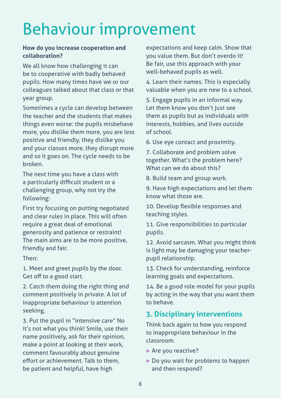## Behaviour improvement

### **How do you increase cooperation and collaboration?**

We all know how challenging it can be to cooperative with badly behaved pupils. How many times have we or our colleagues talked about that class or that year group.

Sometimes a cycle can develop between the teacher and the students that makes things even worse: the pupils misbehave more, you dislike them more, you are less positive and friendly, they dislike you and your classes more, they disrupt more and so it goes on. The cycle needs to be broken.

The next time you have a class with a particularly difficult student or a challenging group, why not try the following:

First try focusing on putting negotiated and clear rules in place. This will often require a great deal of emotional generosity and patience or restraint! The main aims are to be more positive, friendly and fair.

Then:

1. Meet and greet pupils by the door. Get off to a good start.

2. Catch them doing the right thing and comment positively in private. A lot of inappropriate behaviour is attention seeking.

3. Put the pupil in "intensive care" No it's not what you think! Smile, use their name positively, ask for their opinion, make a point at looking at their work, comment favourably about genuine effort or achievement. Talk to them, be patient and helpful, have high

expectations and keep calm. Show that you value them. But don't overdo it! Be fair, use this approach with your well-behaved pupils as well.

4. Learn their names. This is especially valuable when you are new to a school.

5. Engage pupils in an informal way. Let them know you don't just see them as pupils but as individuals with interests, hobbies, and lives outside of school.

6. Use eye contact and proximity.

7. Collaborate and problem solve together. What's the problem here? What can we do about this?

8. Build team and group work.

9. Have high expectations and let them know what those are.

10. Develop flexible responses and teaching styles.

11. Give responsibilities to particular pupils.

12. Avoid sarcasm. What you might think is light may be damaging your teacherpupil relationship.

13. Check for understanding, reinforce learning goals and expectations.

14. Be a good role model for your pupils by acting in the way that you want them to behave.

## **3. Disciplinary interventions**

Think back again to how you respond to inappropriate behaviour in the classroom.

- $\blacktriangleright$  Are you reactive?
- $\triangleright$  Do you wait for problems to happen and then respond?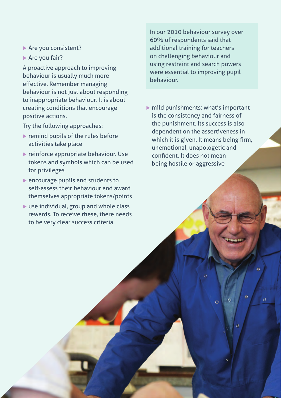- $\blacktriangleright$  Are you consistent?
- $\blacktriangleright$  Are you fair?

A proactive approach to improving behaviour is usually much more effective. Remember managing behaviour is not just about responding to inappropriate behaviour. It is about creating conditions that encourage positive actions.

Try the following approaches:

- $\blacktriangleright$  remind pupils of the rules before activities take place
- $\blacktriangleright$  reinforce appropriate behaviour. Use tokens and symbols which can be used for privileges
- $\blacktriangleright$  encourage pupils and students to self-assess their behaviour and award themselves appropriate tokens/points
- $\blacktriangleright$  use individual, group and whole class rewards. To receive these, there needs to be very clear success criteria

In our 2010 behaviour survey over 60% of respondents said that additional training for teachers on challenging behaviour and using restraint and search powers were essential to improving pupil behaviour.

 $\triangleright$  mild punishments: what's important is the consistency and fairness of the punishment. Its success is also dependent on the assertiveness in which it is given. It means being firm, unemotional, unapologetic and confident. It does not mean being hostile or aggressive

Ŏ

 $\overline{O}$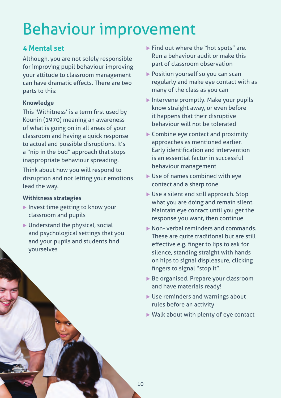## Behaviour improvement

## **4 Mental set**

Although, you are not solely responsible for improving pupil behaviour improving your attitude to classroom management can have dramatic effects. There are two parts to this:

### **Knowledge**

This 'Withitness' is a term first used by Kounin (1970) meaning an awareness of what is going on in all areas of your classroom and having a quick response to actual and possible disruptions. It's a "nip in the bud" approach that stops inappropriate behaviour spreading.

Think about how you will respond to disruption and not letting your emotions lead the way.

### **Withitness strategies**

- $\blacktriangleright$  Invest time getting to know your classroom and pupils
- $\blacktriangleright$  Understand the physical, social and psychological settings that you and your pupils and students find yourselves
- $\blacktriangleright$  Find out where the "hot spots" are. Run a behaviour audit or make this part of classroom observation
- $\triangleright$  Position yourself so you can scan regularly and make eye contact with as many of the class as you can
- $\blacktriangleright$  Intervene promptly. Make your pupils know straight away, or even before it happens that their disruptive behaviour will not be tolerated
- $\blacktriangleright$  Combine eye contact and proximity approaches as mentioned earlier. Early identification and intervention is an essential factor in successful behaviour management
- $\blacktriangleright$  Use of names combined with eye contact and a sharp tone
- $\blacktriangleright$  Use a silent and still approach. Stop what you are doing and remain silent. Maintain eye contact until you get the response you want, then continue
- $\triangleright$  Non- verbal reminders and commands. These are quite traditional but are still effective e.g. finger to lips to ask for silence, standing straight with hands on hips to signal displeasure, clicking fingers to signal "stop it".
- $\triangleright$  Be organised. Prepare your classroom and have materials ready!
- $\blacktriangleright$  Use reminders and warnings about rules before an activity
- $\triangleright$  Walk about with plenty of eye contact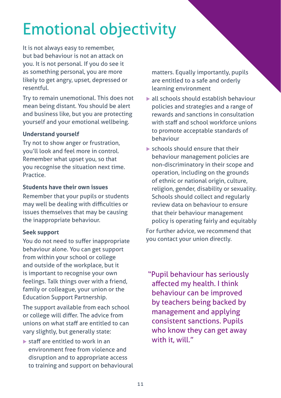## Emotional objectivity

It is not always easy to remember, but bad behaviour is not an attack on you. It is not personal. If you do see it as something personal, you are more likely to get angry, upset, depressed or resentful.

Try to remain unemotional. This does not mean being distant. You should be alert and business like, but you are protecting yourself and your emotional wellbeing.

### **Understand yourself**

Try not to show anger or frustration, you'll look and feel more in control. Remember what upset you, so that you recognise the situation next time. Practice.

### **Students have their own issues**

Remember that your pupils or students may well be dealing with difficulties or issues themselves that may be causing the inappropriate behaviour.

### **Seek support**

You do not need to suffer inappropriate behaviour alone. You can get support from within your school or college and outside of the workplace, but it is important to recognise your own feelings. Talk things over with a friend, family or colleague, your union or the Education Support Partnership.

The support available from each school or college will differ. The advice from unions on what staff are entitled to can vary slightly, but generally state:

 $\blacktriangleright$  staff are entitled to work in an environment free from violence and disruption and to appropriate access to training and support on behavioural matters. Equally importantly, pupils are entitled to a safe and orderly learning environment

- $\blacktriangleright$  all schools should establish behaviour policies and strategies and a range of rewards and sanctions in consultation with staff and school workforce unions to promote acceptable standards of behaviour
- $\blacktriangleright$  schools should ensure that their behaviour management policies are non-discriminatory in their scope and operation, including on the grounds of ethnic or national origin, culture, religion, gender, disability or sexuality. Schools should collect and regularly review data on behaviour to ensure that their behaviour management policy is operating fairly and equitably

For further advice, we recommend that you contact your union directly.

"Pupil behaviour has seriously affected my health. I think behaviour can be improved by teachers being backed by management and applying consistent sanctions. Pupils who know they can get away with it, will."